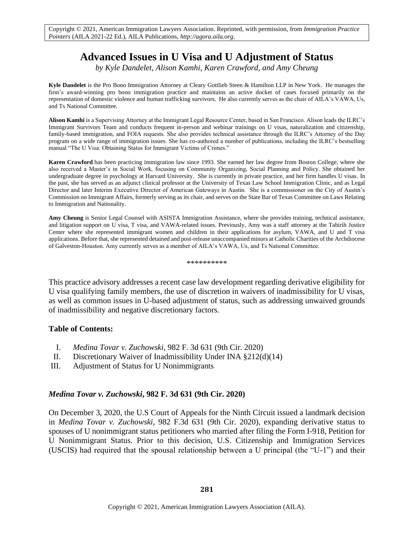# **Advanced Issues in U Visa and U Adjustment of Status**

*by Kyle Dandelet, Alison Kamhi, Karen Crawford, and Amy Cheung*

**Kyle Dandelet** is the Pro Bono Immigration Attorney at Cleary Gottlieb Steen & Hamilton LLP in New York. He manages the firm's award-winning pro bono immigration practice and maintains an active docket of cases focused primarily on the representation of domestic violence and human trafficking survivors. He also currently serves as the chair of AILA's VAWA, Us, and Ts National Committee.

**Alison Kamhi** is a Supervising Attorney at the Immigrant Legal Resource Center, based in San Francisco. Alison leads the ILRC's Immigrant Survivors Team and conducts frequent in-person and webinar trainings on U visas, naturalization and citizenship, family-based immigration, and FOIA requests. She also provides technical assistance through the ILRC's Attorney of the Day program on a wide range of immigration issues. She has co-authored a number of publications, including the ILRC's bestselling manual "The U Visa: Obtaining Status for Immigrant Victims of Crimes."

**Karen Crawford** has been practicing immigration law since 1993. She earned her law degree from Boston College, where she also received a Master's in Social Work, focusing on Community Organizing, Social Planning and Policy. She obtained her undergraduate degree in psychology at Harvard University. She is currently in private practice, and her firm handles U visas. In the past, she has served as an adjunct clinical professor at the University of Texas Law School Immigration Clinic, and as Legal Director and later Interim Executive Director of American Gateways in Austin. She is a commissioner on the City of Austin's Commission on Immigrant Affairs, formerly serving as its chair, and serves on the State Bar of Texas Committee on Laws Relating to Immigration and Nationality.

**Amy Cheung** is Senior Legal Counsel with ASISTA Immigration Assistance, where she provides training, technical assistance, and litigation support on U visa, T visa, and VAWA-related issues. Previously, Amy was a staff attorney at the Tahirih Justice Center where she represented immigrant women and children in their applications for asylum, VAWA, and U and T visa applications. Before that, she represented detained and post-release unaccompanied minors at Catholic Charities of the Archdiocese of Galveston-Houston. Amy currently serves as a member of AILA's VAWA, Us, and Ts National Committee.

\*\*\*\*\*\*\*\*\*\*

This practice advisory addresses a recent case law development regarding derivative eligibility for U visa qualifying family members, the use of discretion in waivers of inadmissibility for U visas, as well as common issues in U-based adjustment of status, such as addressing unwaived grounds of inadmissibility and negative discretionary factors.

#### **Table of Contents:**

- I. *Medina Tovar v. Zuchowski*, 982 F. 3d 631 (9th Cir. 2020)
- II. Discretionary Waiver of Inadmissibility Under INA §212(d)(14)
- III. Adjustment of Status for U Nonimmigrants

#### *Medina Tovar v. Zuchowski***, 982 F. 3d 631 (9th Cir. 2020)**

On December 3, 2020, the U.S Court of Appeals for the Ninth Circuit issued a landmark decision in *Medina Tovar v. Zuchowski*, 982 F.3d 631 (9th Cir. 2020), expanding derivative status to spouses of U nonimmigrant status petitioners who married after filing the Form I-918, Petition for U Nonimmigrant Status. Prior to this decision, U.S. Citizenship and Immigration Services (USCIS) had required that the spousal relationship between a U principal (the "U-1") and their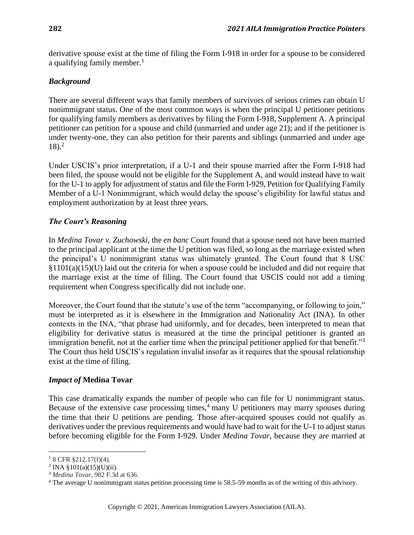derivative spouse exist at the time of filing the Form I-918 in order for a spouse to be considered a qualifying family member.<sup>1</sup>

### *Background*

There are several different ways that family members of survivors of serious crimes can obtain U nonimmigrant status. One of the most common ways is when the principal U petitioner petitions for qualifying family members as derivatives by filing the Form I-918, Supplement A. A principal petitioner can petition for a spouse and child (unmarried and under age 21); and if the petitioner is under twenty-one, they can also petition for their parents and siblings (unmarried and under age  $18$ ).<sup>2</sup>

Under USCIS's prior interpretation, if a U-1 and their spouse married after the Form I-918 had been filed, the spouse would not be eligible for the Supplement A, and would instead have to wait for the U-1 to apply for adjustment of status and file the Form I-929, Petition for Qualifying Family Member of a U-1 Nonimmigrant, which would delay the spouse's eligibility for lawful status and employment authorization by at least three years.

# *The Court's Reasoning*

In *Medina Tovar v. Zuchowski*, the *en banc* Court found that a spouse need not have been married to the principal applicant at the time the U petition was filed, so long as the marriage existed when the principal's U nonimmigrant status was ultimately granted. The Court found that 8 USC §1101(a)(15)(U) laid out the criteria for when a spouse could be included and did not require that the marriage exist at the time of filing. The Court found that USCIS could not add a timing requirement when Congress specifically did not include one.

Moreover, the Court found that the statute's use of the term "accompanying, or following to join," must be interpreted as it is elsewhere in the Immigration and Nationality Act (INA). In other contexts in the INA, "that phrase had uniformly, and for decades, been interpreted to mean that eligibility for derivative status is measured at the time the principal petitioner is granted an immigration benefit, not at the earlier time when the principal petitioner applied for that benefit."<sup>3</sup> The Court thus held USCIS's regulation invalid insofar as it requires that the spousal relationship exist at the time of filing.

### *Impact of* **Medina Tovar**

This case dramatically expands the number of people who can file for U nonimmigrant status. Because of the extensive case processing times, $4 \text{ many } U$  petitioners may marry spouses during the time that their U petitions are pending. Those after-acquired spouses could not qualify as derivatives under the previous requirements and would have had to wait for the U-1 to adjust status before becoming eligible for the Form I-929. Under *Medina Tovar*, because they are married at

 $18$  CFR §212.17(f)(4).

<sup>&</sup>lt;sup>2</sup> INA §101(a)(15)(U)(ii).

<sup>3</sup> *Medina Tovar*, 982 F.3d at 636.

<sup>&</sup>lt;sup>4</sup> The average U nonimmigrant status petition processing time is 58.5-59 months as of the writing of this advisory.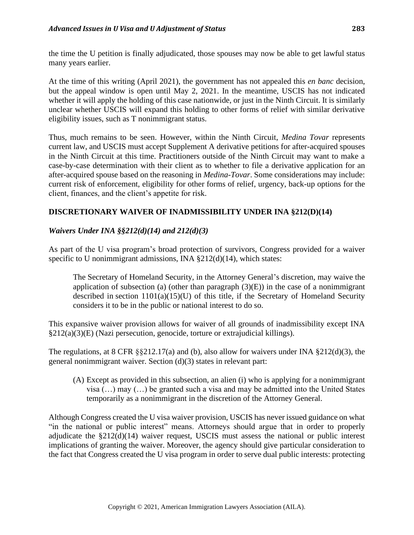the time the U petition is finally adjudicated, those spouses may now be able to get lawful status many years earlier.

At the time of this writing (April 2021), the government has not appealed this *en banc* decision, but the appeal window is open until May 2, 2021. In the meantime, USCIS has not indicated whether it will apply the holding of this case nationwide, or just in the Ninth Circuit. It is similarly unclear whether USCIS will expand this holding to other forms of relief with similar derivative eligibility issues, such as T nonimmigrant status.

Thus, much remains to be seen. However, within the Ninth Circuit, *Medina Tovar* represents current law, and USCIS must accept Supplement A derivative petitions for after-acquired spouses in the Ninth Circuit at this time. Practitioners outside of the Ninth Circuit may want to make a case-by-case determination with their client as to whether to file a derivative application for an after-acquired spouse based on the reasoning in *Medina-Tovar*. Some considerations may include: current risk of enforcement, eligibility for other forms of relief, urgency, back-up options for the client, finances, and the client's appetite for risk.

# **DISCRETIONARY WAIVER OF INADMISSIBILITY UNDER INA §212(D)(14)**

# *Waivers Under INA §§212(d)(14) and 212(d)(3)*

As part of the U visa program's broad protection of survivors, Congress provided for a waiver specific to U nonimmigrant admissions, INA §212(d)(14), which states:

The Secretary of Homeland Security, in the Attorney General's discretion, may waive the application of subsection (a) (other than paragraph  $(3)(E)$ ) in the case of a nonimmigrant described in section 1101(a)(15)(U) of this title, if the Secretary of Homeland Security considers it to be in the public or national interest to do so.

This expansive waiver provision allows for waiver of all grounds of inadmissibility except INA §212(a)(3)(E) (Nazi persecution, genocide, torture or extrajudicial killings).

The regulations, at 8 CFR §§212.17(a) and (b), also allow for waivers under INA §212(d)(3), the general nonimmigrant waiver. Section (d)(3) states in relevant part:

(A) Except as provided in this subsection, an alien (i) who is applying for a nonimmigrant visa (…) may (…) be granted such a visa and may be admitted into the United States temporarily as a nonimmigrant in the discretion of the Attorney General.

Although Congress created the U visa waiver provision, USCIS has never issued guidance on what "in the national or public interest" means. Attorneys should argue that in order to properly adjudicate the §212(d)(14) waiver request, USCIS must assess the national or public interest implications of granting the waiver. Moreover, the agency should give particular consideration to the fact that Congress created the U visa program in order to serve dual public interests: protecting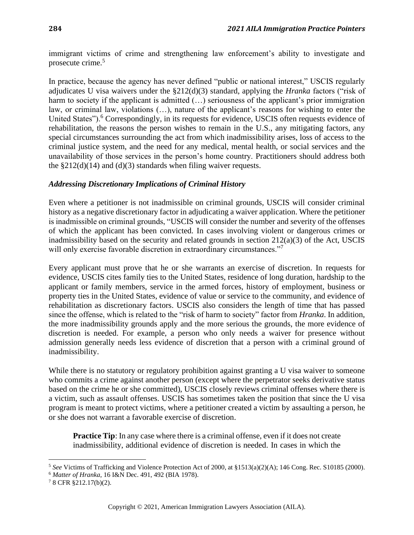immigrant victims of crime and strengthening law enforcement's ability to investigate and prosecute crime.<sup>5</sup>

In practice, because the agency has never defined "public or national interest," USCIS regularly adjudicates U visa waivers under the §212(d)(3) standard, applying the *Hranka* factors ("risk of harm to society if the applicant is admitted (...) seriousness of the applicant's prior immigration law, or criminal law, violations (…), nature of the applicant's reasons for wishing to enter the United States").<sup>6</sup> Correspondingly, in its requests for evidence, USCIS often requests evidence of rehabilitation, the reasons the person wishes to remain in the U.S., any mitigating factors, any special circumstances surrounding the act from which inadmissibility arises, loss of access to the criminal justice system, and the need for any medical, mental health, or social services and the unavailability of those services in the person's home country. Practitioners should address both the  $\S212(d)(14)$  and  $(d)(3)$  standards when filing waiver requests.

### *Addressing Discretionary Implications of Criminal History*

Even where a petitioner is not inadmissible on criminal grounds, USCIS will consider criminal history as a negative discretionary factor in adjudicating a waiver application. Where the petitioner is inadmissible on criminal grounds, "USCIS will consider the number and severity of the offenses of which the applicant has been convicted. In cases involving violent or dangerous crimes or inadmissibility based on the security and related grounds in section 212(a)(3) of the Act, USCIS will only exercise favorable discretion in extraordinary circumstances."<sup>7</sup>

Every applicant must prove that he or she warrants an exercise of discretion. In requests for evidence, USCIS cites family ties to the United States, residence of long duration, hardship to the applicant or family members, service in the armed forces, history of employment, business or property ties in the United States, evidence of value or service to the community, and evidence of rehabilitation as discretionary factors. USCIS also considers the length of time that has passed since the offense, which is related to the "risk of harm to society" factor from *Hranka*. In addition, the more inadmissibility grounds apply and the more serious the grounds, the more evidence of discretion is needed. For example, a person who only needs a waiver for presence without admission generally needs less evidence of discretion that a person with a criminal ground of inadmissibility.

While there is no statutory or regulatory prohibition against granting a U visa waiver to some one who commits a crime against another person (except where the perpetrator seeks derivative status based on the crime he or she committed), USCIS closely reviews criminal offenses where there is a victim, such as assault offenses. USCIS has sometimes taken the position that since the U visa program is meant to protect victims, where a petitioner created a victim by assaulting a person, he or she does not warrant a favorable exercise of discretion.

**Practice Tip**: In any case where there is a criminal offense, even if it does not create inadmissibility, additional evidence of discretion is needed. In cases in which the

<sup>5</sup> *See* Victims of Trafficking and Violence Protection Act of 2000, at §1513(a)(2)(A); 146 Cong. Rec. S10185 (2000).

<sup>6</sup> *Matter of Hranka*, 16 I&N Dec. 491, 492 (BIA 1978).

<sup>7</sup> 8 CFR §212.17(b)(2).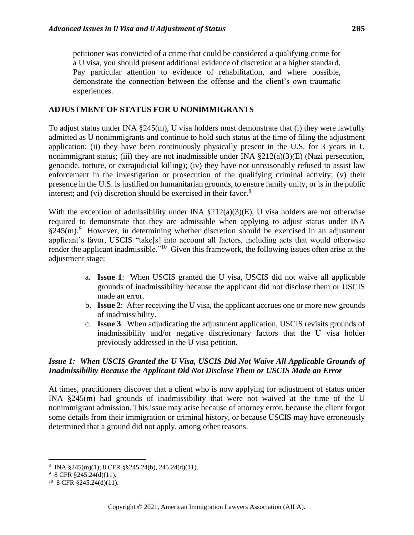petitioner was convicted of a crime that could be considered a qualifying crime for a U visa, you should present additional evidence of discretion at a higher standard, Pay particular attention to evidence of rehabilitation, and where possible, demonstrate the connection between the offense and the client's own traumatic experiences.

#### **ADJUSTMENT OF STATUS FOR U NONIMMIGRANTS**

To adjust status under INA  $\S 245(m)$ , U visa holders must demonstrate that (i) they were lawfully admitted as U nonimmigrants and continue to hold such status at the time of filing the adjustment application; (ii) they have been continuously physically present in the U.S. for 3 years in U nonimmigrant status; (iii) they are not inadmissible under INA  $\S212(a)(3)(E)$  (Nazi persecution, genocide, torture, or extrajudicial killing); (iv) they have not unreasonably refused to assist law enforcement in the investigation or prosecution of the qualifying criminal activity; (v) their presence in the U.S. is justified on humanitarian grounds, to ensure family unity, or is in the public interest; and (vi) discretion should be exercised in their favor.<sup>8</sup>

With the exception of admissibility under INA  $\S212(a)(3)(E)$ , U visa holders are not otherwise required to demonstrate that they are admissible when applying to adjust status under INA  $$245(m).$ <sup>9</sup> However, in determining whether discretion should be exercised in an adjustment applicant's favor, USCIS "take[s] into account all factors, including acts that would otherwise render the applicant inadmissible."<sup>10</sup> Given this framework, the following issues often arise at the adjustment stage:

- a. **Issue 1**: When USCIS granted the U visa, USCIS did not waive all applicable grounds of inadmissibility because the applicant did not disclose them or USCIS made an error.
- b. **Issue 2**: After receiving the U visa, the applicant accrues one or more new grounds of inadmissibility.
- c. **Issue 3**: When adjudicating the adjustment application, USCIS revisits grounds of inadmissibility and/or negative discretionary factors that the U visa holder previously addressed in the U visa petition.

### *Issue 1: When USCIS Granted the U Visa, USCIS Did Not Waive All Applicable Grounds of Inadmissibility Because the Applicant Did Not Disclose Them or USCIS Made an Error*

At times, practitioners discover that a client who is now applying for adjustment of status under INA §245(m) had grounds of inadmissibility that were not waived at the time of the U nonimmigrant admission. This issue may arise because of attorney error, because the client forgot some details from their immigration or criminal history, or because USCIS may have erroneously determined that a ground did not apply, among other reasons.

<sup>8</sup> INA §245(m)(1); 8 СFR §§245.24(b), 245.24(d)(11).

 $98$  CFR §245.24(d)(11).

 $10\,$  8 CFR §245.24(d)(11).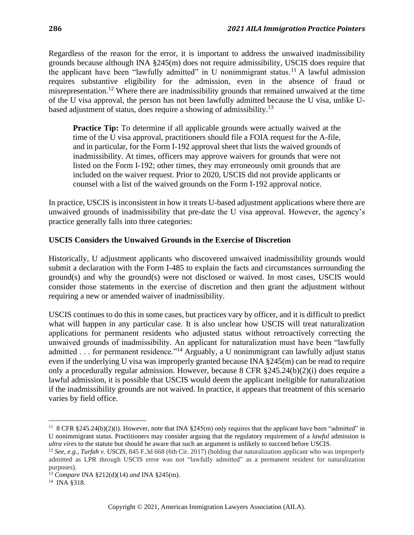Regardless of the reason for the error, it is important to address the unwaived inadmissibility grounds because although INA §245(m) does not require admissibility, USCIS does require that the applicant have been "lawfully admitted" in U nonimmigrant status.<sup>11</sup> A lawful admission requires substantive eligibility for the admission, even in the absence of fraud or misrepresentation.<sup>12</sup> Where there are inadmissibility grounds that remained unwaived at the time of the U visa approval, the person has not been lawfully admitted because the U visa, unlike Ubased adjustment of status, does require a showing of admissibility.<sup>13</sup>

**Practice Tip:** To determine if all applicable grounds were actually waived at the time of the U visa approval, practitioners should file a FOIA request for the A-file, and in particular, for the Form I-192 approval sheet that lists the waived grounds of inadmissibility. At times, officers may approve waivers for grounds that were not listed on the Form I-192; other times, they may erroneously omit grounds that are included on the waiver request. Prior to 2020, USCIS did not provide applicants or counsel with a list of the waived grounds on the Form I-192 approval notice.

In practice, USCIS is inconsistent in how it treats U-based adjustment applications where there are unwaived grounds of inadmissibility that pre-date the U visa approval. However, the agency's practice generally falls into three categories:

# **USCIS Considers the Unwaived Grounds in the Exercise of Discretion**

Historically, U adjustment applicants who discovered unwaived inadmissibility grounds would submit a declaration with the Form I-485 to explain the facts and circumstances surrounding the ground(s) and why the ground(s) were not disclosed or waived. In most cases, USCIS would consider those statements in the exercise of discretion and then grant the adjustment without requiring a new or amended waiver of inadmissibility.

USCIS continues to do this in some cases, but practices vary by officer, and it is difficult to predict what will happen in any particular case. It is also unclear how USCIS will treat naturalization applications for permanent residents who adjusted status without retroactively correcting the unwaived grounds of inadmissibility. An applicant for naturalization must have been "lawfully admitted . . . for permanent residence."<sup>14</sup> Arguably, a U nonimmigrant can lawfully adjust status even if the underlying U visa was improperly granted because INA §245(m) can be read to require only a procedurally regular admission. However, because 8 CFR §245.24(b)(2)(i) does require a lawful admission, it is possible that USCIS would deem the applicant ineligible for naturalization if the inadmissibility grounds are not waived. In practice, it appears that treatment of this scenario varies by field office.

<sup>&</sup>lt;sup>11</sup> 8 CFR  $§245.24(b)(2)(i)$ . However, note that INA  $§245(m)$  only requires that the applicant have been "admitted" in U nonimmigrant status. Practitioners may consider arguing that the regulatory requirement of a *lawful* admission is *ultra vires* to the statute but should be aware that such an argument is unlikely to succeed before USCIS.

<sup>12</sup> *See, e.g., Turfah v. USCIS*, 845 F.3d 668 (6th Cir. 2017) (holding that naturalization applicant who was improperly admitted as LPR through USCIS error was not "lawfully admitted" as a permanent resident for naturalization purposes).

<sup>13</sup> *Compare* INA §212(d)(14) *and* INA §245(m).

<sup>14</sup> INA §318.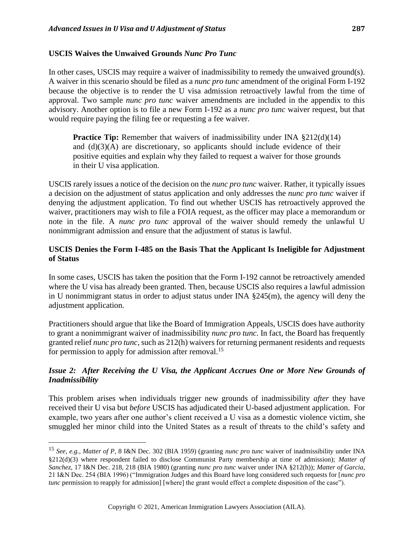In other cases, USCIS may require a waiver of inadmissibility to remedy the unwaived ground(s). A waiver in this scenario should be filed as a *nunc pro tunc* amendment of the original Form I-192 because the objective is to render the U visa admission retroactively lawful from the time of approval. Two sample *nunc pro tunc* waiver amendments are included in the appendix to this advisory. Another option is to file a new Form I-192 as a *nunc pro tunc* waiver request, but that would require paying the filing fee or requesting a fee waiver.

**Practice Tip:** Remember that waivers of inadmissibility under INA §212(d)(14) and  $(d)(3)(A)$  are discretionary, so applicants should include evidence of their positive equities and explain why they failed to request a waiver for those grounds in their U visa application.

USCIS rarely issues a notice of the decision on the *nunc pro tunc* waiver. Rather, it typically issues a decision on the adjustment of status application and only addresses the *nunc pro tunc* waiver if denying the adjustment application. To find out whether USCIS has retroactively approved the waiver, practitioners may wish to file a FOIA request, as the officer may place a memorandum or note in the file. A *nunc pro tunc* approval of the waiver should remedy the unlawful U nonimmigrant admission and ensure that the adjustment of status is lawful.

### **USCIS Denies the Form I-485 on the Basis That the Applicant Is Ineligible for Adjustment of Status**

In some cases, USCIS has taken the position that the Form I-192 cannot be retroactively amended where the U visa has already been granted. Then, because USCIS also requires a lawful admission in U nonimmigrant status in order to adjust status under INA §245(m), the agency will deny the adjustment application.

Practitioners should argue that like the Board of Immigration Appeals, USCIS does have authority to grant a nonimmigrant waiver of inadmissibility *nunc pro tunc.* In fact, the Board has frequently granted relief *nunc pro tunc*, such as 212(h) waivers for returning permanent residents and requests for permission to apply for admission after removal.<sup>15</sup>

### *Issue 2: After Receiving the U Visa, the Applicant Accrues One or More New Grounds of Inadmissibility*

This problem arises when individuals trigger new grounds of inadmissibility *after* they have received their U visa but *before* USCIS has adjudicated their U-based adjustment application. For example, two years after one author's client received a U visa as a domestic violence victim, she smuggled her minor child into the United States as a result of threats to the child's safety and

<sup>15</sup> *See, e.g., Matter of P*, 8 I&N Dec. 302 (BIA 1959) (granting *nunc pro tunc* waiver of inadmissibility under INA §212(d)(3) where respondent failed to disclose Communist Party membership at time of admission); *Matter of Sanchez*, 17 I&N Dec. 218, 218 (BIA 1980) (granting *nunc pro tunc* waiver under INA §212(h)); *Matter of Garcia*, 21 I&N Dec. 254 (BIA 1996) ("Immigration Judges and this Board have long considered such requests for [*nunc pro tunc* permission to reapply for admission] [where] the grant would effect a complete disposition of the case").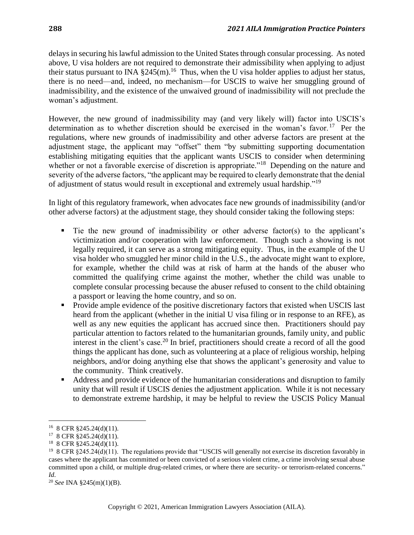delays in securing his lawful admission to the United States through consular processing. As noted above, U visa holders are not required to demonstrate their admissibility when applying to adjust their status pursuant to INA  $\S 245(m)$ .<sup>16</sup> Thus, when the U visa holder applies to adjust her status, there is no need—and, indeed, no mechanism—for USCIS to waive her smuggling ground of inadmissibility, and the existence of the unwaived ground of inadmissibility will not preclude the woman's adjustment.

However, the new ground of inadmissibility may (and very likely will) factor into USCIS's determination as to whether discretion should be exercised in the woman's favor.<sup>17</sup> Per the regulations, where new grounds of inadmissibility and other adverse factors are present at the adjustment stage, the applicant may "offset" them "by submitting supporting documentation establishing mitigating equities that the applicant wants USCIS to consider when determining whether or not a favorable exercise of discretion is appropriate."<sup>18</sup> Depending on the nature and severity of the adverse factors, "the applicant may be required to clearly demonstrate that the denial of adjustment of status would result in exceptional and extremely usual hardship."<sup>19</sup>

In light of this regulatory framework, when advocates face new grounds of inadmissibility (and/or other adverse factors) at the adjustment stage, they should consider taking the following steps:

- Tie the new ground of inadmissibility or other adverse factor(s) to the applicant's victimization and/or cooperation with law enforcement. Though such a showing is not legally required, it can serve as a strong mitigating equity. Thus, in the example of the U visa holder who smuggled her minor child in the U.S., the advocate might want to explore, for example, whether the child was at risk of harm at the hands of the abuser who committed the qualifying crime against the mother, whether the child was unable to complete consular processing because the abuser refused to consent to the child obtaining a passport or leaving the home country, and so on.
- Provide ample evidence of the positive discretionary factors that existed when USCIS last heard from the applicant (whether in the initial U visa filing or in response to an RFE), as well as any new equities the applicant has accrued since then. Practitioners should pay particular attention to factors related to the humanitarian grounds, family unity, and public interest in the client's case.<sup>20</sup> In brief, practitioners should create a record of all the good things the applicant has done, such as volunteering at a place of religious worship, helping neighbors, and/or doing anything else that shows the applicant's generosity and value to the community. Think creatively.
- Address and provide evidence of the humanitarian considerations and disruption to family unity that will result if USCIS denies the adjustment application. While it is not necessary to demonstrate extreme hardship, it may be helpful to review the USCIS Policy Manual

<sup>16</sup> 8 CFR §245.24(d)(11).

 $178$  CFR §245.24(d)(11).

<sup>18</sup> 8 CFR §245.24(d)(11).

<sup>&</sup>lt;sup>19</sup> 8 CFR §245.24(d)(11). The regulations provide that "USCIS will generally not exercise its discretion favorably in cases where the applicant has committed or been convicted of a serious violent crime, a crime involving sexual abuse committed upon a child, or multiple drug-related crimes, or where there are security- or terrorism-related concerns." *Id.*

<sup>20</sup> *See* INA §245(m)(1)(B).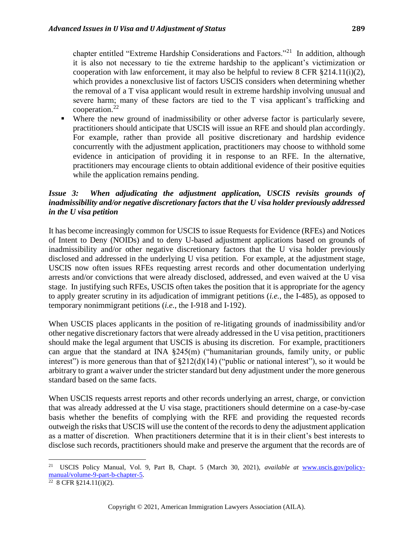chapter entitled "Extreme Hardship Considerations and Factors."<sup>21</sup> In addition, although it is also not necessary to tie the extreme hardship to the applicant's victimization or cooperation with law enforcement, it may also be helpful to review 8 CFR §214.11(i)(2), which provides a nonexclusive list of factors USCIS considers when determining whether the removal of a T visa applicant would result in extreme hardship involving unusual and severe harm; many of these factors are tied to the T visa applicant's trafficking and cooperation. $^{22}$ 

■ Where the new ground of inadmissibility or other adverse factor is particularly severe, practitioners should anticipate that USCIS will issue an RFE and should plan accordingly. For example, rather than provide all positive discretionary and hardship evidence concurrently with the adjustment application, practitioners may choose to withhold some evidence in anticipation of providing it in response to an RFE. In the alternative, practitioners may encourage clients to obtain additional evidence of their positive equities while the application remains pending.

# *Issue 3: When adjudicating the adjustment application, USCIS revisits grounds of inadmissibility and/or negative discretionary factors that the U visa holder previously addressed in the U visa petition*

It has become increasingly common for USCIS to issue Requests for Evidence (RFEs) and Notices of Intent to Deny (NOIDs) and to deny U-based adjustment applications based on grounds of inadmissibility and/or other negative discretionary factors that the U visa holder previously disclosed and addressed in the underlying U visa petition. For example, at the adjustment stage, USCIS now often issues RFEs requesting arrest records and other documentation underlying arrests and/or convictions that were already disclosed, addressed, and even waived at the U visa stage. In justifying such RFEs, USCIS often takes the position that it is appropriate for the agency to apply greater scrutiny in its adjudication of immigrant petitions (*i.e.*, the I-485), as opposed to temporary nonimmigrant petitions (*i.e.*, the I-918 and I-192).

When USCIS places applicants in the position of re-litigating grounds of inadmissibility and/or other negative discretionary factors that were already addressed in the U visa petition, practitioners should make the legal argument that USCIS is abusing its discretion. For example, practitioners can argue that the standard at INA §245(m) ("humanitarian grounds, family unity, or public interest") is more generous than that of §212(d)(14) ("public or national interest"), so it would be arbitrary to grant a waiver under the stricter standard but deny adjustment under the more generous standard based on the same facts.

When USCIS requests arrest reports and other records underlying an arrest, charge, or conviction that was already addressed at the U visa stage, practitioners should determine on a case-by-case basis whether the benefits of complying with the RFE and providing the requested records outweigh the risks that USCIS will use the content of the records to deny the adjustment application as a matter of discretion. When practitioners determine that it is in their client's best interests to disclose such records, practitioners should make and preserve the argument that the records are of

<sup>21</sup> USCIS Policy Manual, Vol. 9, Part B, Chapt. 5 (March 30, 2021), *available at* [www.uscis.gov/policy](http://www.uscis.gov/policy-manual/volume-9-part-b-chapter-5)[manual/volume-9-part-b-chapter-5.](http://www.uscis.gov/policy-manual/volume-9-part-b-chapter-5)

 $22 \text{ 8 CFR } \S 214.11(\text{i})(2)$ .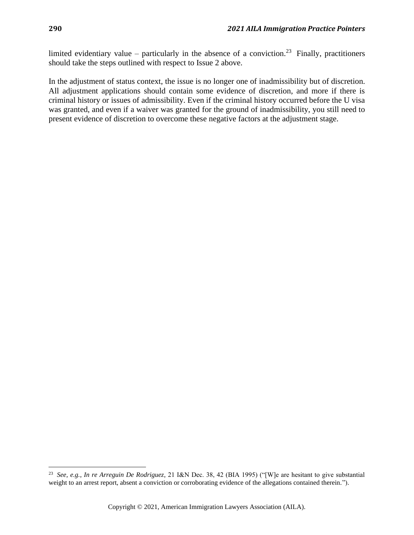limited evidentiary value – particularly in the absence of a conviction.<sup>23</sup> Finally, practitioners should take the steps outlined with respect to Issue 2 above.

In the adjustment of status context, the issue is no longer one of inadmissibility but of discretion. All adjustment applications should contain some evidence of discretion, and more if there is criminal history or issues of admissibility. Even if the criminal history occurred before the U visa was granted, and even if a waiver was granted for the ground of inadmissibility, you still need to present evidence of discretion to overcome these negative factors at the adjustment stage.

<sup>23</sup> *See, e.g.*, *In re Arreguin De Rodriguez*, 21 I&N Dec. 38, 42 (BIA 1995) ("[W]e are hesitant to give substantial weight to an arrest report, absent a conviction or corroborating evidence of the allegations contained therein.").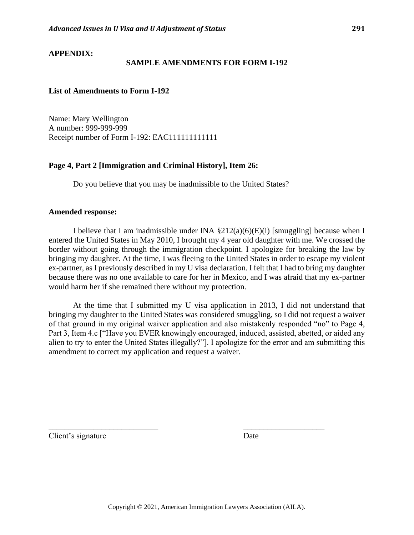#### **APPENDIX:**

#### **SAMPLE AMENDMENTS FOR FORM I-192**

#### **List of Amendments to Form I-192**

Name: Mary Wellington A number: 999-999-999 Receipt number of Form I-192: EAC111111111111

#### **Page 4, Part 2 [Immigration and Criminal History], Item 26:**

Do you believe that you may be inadmissible to the United States?

#### **Amended response:**

I believe that I am inadmissible under INA  $\S212(a)(6)(E)(i)$  [smuggling] because when I entered the United States in May 2010, I brought my 4 year old daughter with me. We crossed the border without going through the immigration checkpoint. I apologize for breaking the law by bringing my daughter. At the time, I was fleeing to the United States in order to escape my violent ex-partner, as I previously described in my U visa declaration. I felt that I had to bring my daughter because there was no one available to care for her in Mexico, and I was afraid that my ex-partner would harm her if she remained there without my protection.

At the time that I submitted my U visa application in 2013, I did not understand that bringing my daughter to the United States was considered smuggling, so I did not request a waiver of that ground in my original waiver application and also mistakenly responded "no" to Page 4, Part 3, Item 4.c ["Have you EVER knowingly encouraged, induced, assisted, abetted, or aided any alien to try to enter the United States illegally?"]. I apologize for the error and am submitting this amendment to correct my application and request a waiver.

Client's signature Date

\_\_\_\_\_\_\_\_\_\_\_\_\_\_\_\_\_\_\_\_\_\_\_\_\_\_\_ \_\_\_\_\_\_\_\_\_\_\_\_\_\_\_\_\_\_\_\_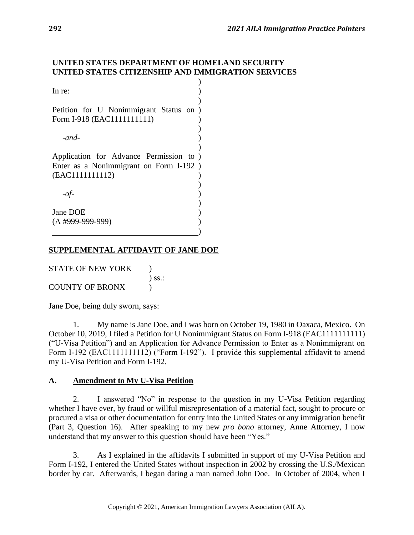#### **UNITED STATES DEPARTMENT OF HOMELAND SECURITY UNITED STATES CITIZENSHIP AND IMMIGRATION SERVICES**

| In re:                                                                                               |  |
|------------------------------------------------------------------------------------------------------|--|
| Petition for U Nonimmigrant Status on )<br>Form I-918 (EAC1111111111)                                |  |
| $-and-$                                                                                              |  |
| Application for Advance Permission to )<br>Enter as a Nonimmigrant on Form I-192)<br>(EAC1111111112) |  |
| $-$ of-                                                                                              |  |
| Jane DOE<br>$(A$ #999-999-999)                                                                       |  |

# **SUPPLEMENTAL AFFIDAVIT OF JANE DOE**

| <b>STATE OF NEW YORK</b> |             |
|--------------------------|-------------|
|                          | $\sum$ SS.: |
| <b>COUNTY OF BRONX</b>   |             |

Jane Doe, being duly sworn, says:

1. My name is Jane Doe, and I was born on October 19, 1980 in Oaxaca, Mexico. On October 10, 2019, I filed a Petition for U Nonimmigrant Status on Form I-918 (EAC1111111111) ("U-Visa Petition") and an Application for Advance Permission to Enter as a Nonimmigrant on Form I-192 (EAC1111111112) ("Form I-192"). I provide this supplemental affidavit to amend my U-Visa Petition and Form I-192.

#### **A. Amendment to My U-Visa Petition**

2. I answered "No" in response to the question in my U-Visa Petition regarding whether I have ever, by fraud or willful misrepresentation of a material fact, sought to procure or procured a visa or other documentation for entry into the United States or any immigration benefit (Part 3, Question 16). After speaking to my new *pro bono* attorney, Anne Attorney, I now understand that my answer to this question should have been "Yes."

3. As I explained in the affidavits I submitted in support of my U-Visa Petition and Form I-192, I entered the United States without inspection in 2002 by crossing the U.S./Mexican border by car. Afterwards, I began dating a man named John Doe. In October of 2004, when I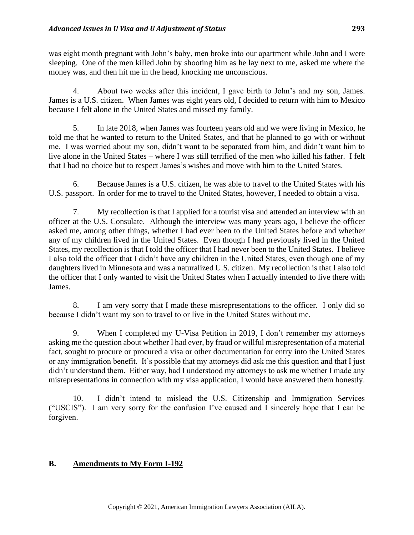was eight month pregnant with John's baby, men broke into our apartment while John and I were sleeping. One of the men killed John by shooting him as he lay next to me, asked me where the money was, and then hit me in the head, knocking me unconscious.

4. About two weeks after this incident, I gave birth to John's and my son, James. James is a U.S. citizen. When James was eight years old, I decided to return with him to Mexico because I felt alone in the United States and missed my family.

5. In late 2018, when James was fourteen years old and we were living in Mexico, he told me that he wanted to return to the United States, and that he planned to go with or without me. I was worried about my son, didn't want to be separated from him, and didn't want him to live alone in the United States – where I was still terrified of the men who killed his father. I felt that I had no choice but to respect James's wishes and move with him to the United States.

6. Because James is a U.S. citizen, he was able to travel to the United States with his U.S. passport. In order for me to travel to the United States, however, I needed to obtain a visa.

7. My recollection is that I applied for a tourist visa and attended an interview with an officer at the U.S. Consulate. Although the interview was many years ago, I believe the officer asked me, among other things, whether I had ever been to the United States before and whether any of my children lived in the United States. Even though I had previously lived in the United States, my recollection is that I told the officer that I had never been to the United States. I believe I also told the officer that I didn't have any children in the United States, even though one of my daughters lived in Minnesota and was a naturalized U.S. citizen. My recollection is that I also told the officer that I only wanted to visit the United States when I actually intended to live there with James.

8. I am very sorry that I made these misrepresentations to the officer. I only did so because I didn't want my son to travel to or live in the United States without me.

9. When I completed my U-Visa Petition in 2019, I don't remember my attorneys asking me the question about whether I had ever, by fraud or willful misrepresentation of a material fact, sought to procure or procured a visa or other documentation for entry into the United States or any immigration benefit. It's possible that my attorneys did ask me this question and that I just didn't understand them. Either way, had I understood my attorneys to ask me whether I made any misrepresentations in connection with my visa application, I would have answered them honestly.

10. I didn't intend to mislead the U.S. Citizenship and Immigration Services ("USCIS"). I am very sorry for the confusion I've caused and I sincerely hope that I can be forgiven.

### **B. Amendments to My Form I-192**